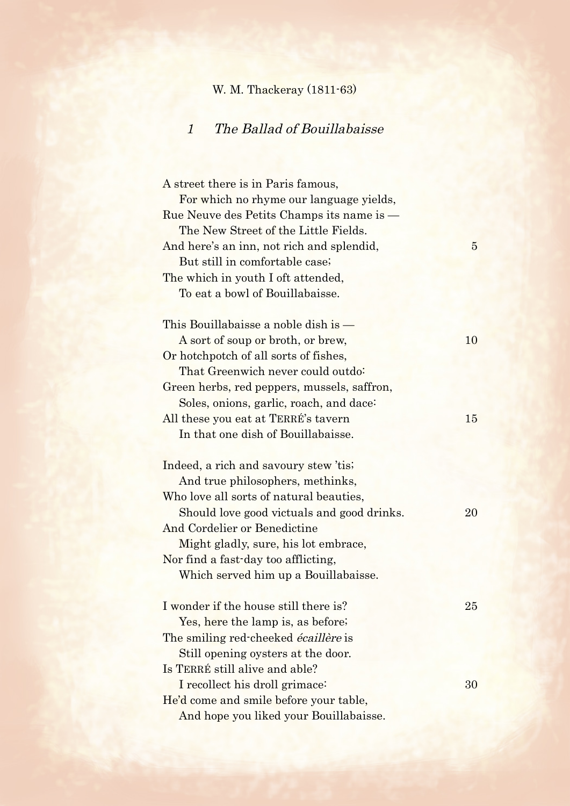## W. M. Thackeray (1811-63)

## 1 The Ballad of Bouillabaisse

A street there is in Paris famous, For which no rhyme our language yields, Rue Neuve des Petits Champs its name is — The New Street of the Little Fields. And here's an inn, not rich and splendid, 5 But still in comfortable case; The which in youth I oft attended, To eat a bowl of Bouillabaisse. This Bouillabaisse a noble dish is — A sort of soup or broth, or brew, 10 Or hotchpotch of all sorts of fishes, That Greenwich never could outdo: Green herbs, red peppers, mussels, saffron, Soles, onions, garlic, roach, and dace: All these you eat at TERRÉ's tavern 15 In that one dish of Bouillabaisse. Indeed, a rich and savoury stew 'tis; And true philosophers, methinks, Who love all sorts of natural beauties, Should love good victuals and good drinks. 20 And Cordelier or Benedictine Might gladly, sure, his lot embrace, Nor find a fast-day too afflicting, Which served him up a Bouillabaisse. I wonder if the house still there is? 25 Yes, here the lamp is, as before; The smiling red-cheeked *écaillère* is Still opening oysters at the door. Is TERRÉ still alive and able? I recollect his droll grimace: 30 He'd come and smile before your table, And hope you liked your Bouillabaisse.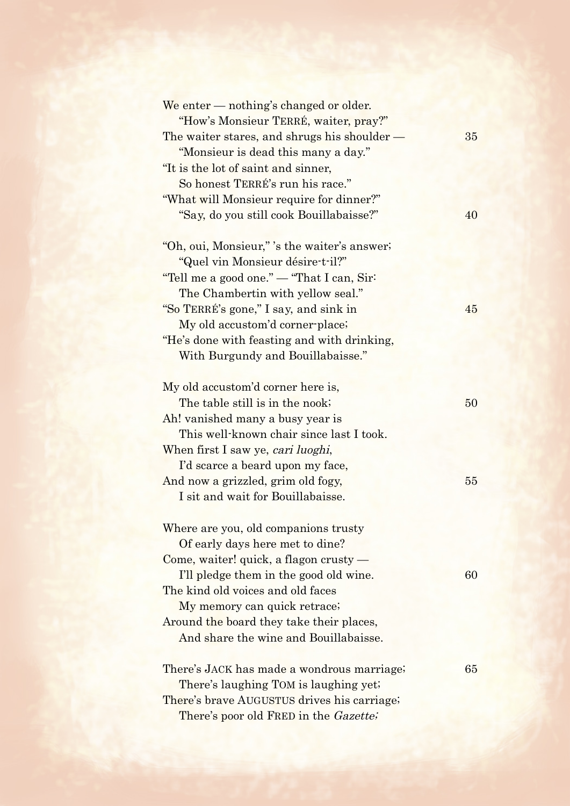| We enter — nothing's changed or older.<br>"How's Monsieur TERRÉ, waiter, pray?" |    |
|---------------------------------------------------------------------------------|----|
| The waiter stares, and shrugs his shoulder —                                    | 35 |
| "Monsieur is dead this many a day."                                             |    |
| "It is the lot of saint and sinner,                                             |    |
| So honest TERRÉ's run his race."                                                |    |
| "What will Monsieur require for dinner?"                                        |    |
| "Say, do you still cook Bouillabaisse?"                                         | 40 |
| "Oh, oui, Monsieur," 's the waiter's answer;                                    |    |
| "Quel vin Monsieur désire-t-il?"                                                |    |
| "Tell me a good one." — "That I can, Sir                                        |    |
| The Chambertin with yellow seal."                                               |    |
| "So TERRÉ's gone," I say, and sink in                                           | 45 |
| My old accustom'd corner-place;                                                 |    |
| "He's done with feasting and with drinking,                                     |    |
| With Burgundy and Bouillabaisse."                                               |    |
| My old accustom'd corner here is,                                               |    |
| The table still is in the nook;                                                 | 50 |
| Ah! vanished many a busy year is                                                |    |
| This well-known chair since last I took.                                        |    |
| When first I saw ye, cari luoghi,                                               |    |
| I'd scarce a beard upon my face,                                                |    |
| And now a grizzled, grim old fogy,                                              | 55 |
| I sit and wait for Bouillabaisse.                                               |    |
| Where are you, old companions trusty                                            |    |
| Of early days here met to dine?                                                 |    |
| Come, waiter! quick, a flagon crusty $-$                                        |    |
| I'll pledge them in the good old wine.                                          | 60 |
| The kind old voices and old faces                                               |    |
| My memory can quick retrace;                                                    |    |
| Around the board they take their places,                                        |    |
| And share the wine and Bouillabaisse.                                           |    |
| There's JACK has made a wondrous marriage;                                      | 65 |
| There's laughing TOM is laughing yet.                                           |    |
| There's brave AUGUSTUS drives his carriage;                                     |    |
| There's poor old FRED in the Gazette;                                           |    |